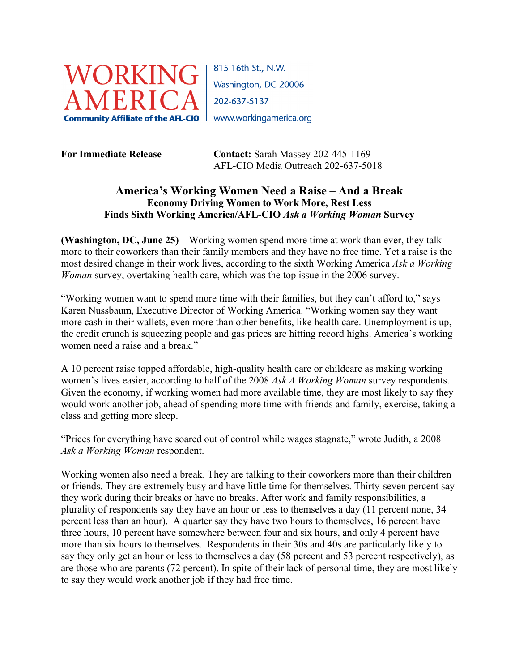

815 16th St., N.W. Washington, DC 20006 202-637-5137

**For Immediate Release Contact:** Sarah Massey 202-445-1169 AFL-CIO Media Outreach 202-637-5018

## **America's Working Women Need a Raise – And a Break Economy Driving Women to Work More, Rest Less Finds Sixth Working America/AFL-CIO** *Ask a Working Woman* **Survey**

**(Washington, DC, June 25)** – Working women spend more time at work than ever, they talk more to their coworkers than their family members and they have no free time. Yet a raise is the most desired change in their work lives, according to the sixth Working America *Ask a Working Woman* survey, overtaking health care, which was the top issue in the 2006 survey.

"Working women want to spend more time with their families, but they can't afford to," says Karen Nussbaum, Executive Director of Working America. "Working women say they want more cash in their wallets, even more than other benefits, like health care. Unemployment is up, the credit crunch is squeezing people and gas prices are hitting record highs. America's working women need a raise and a break."

A 10 percent raise topped affordable, high-quality health care or childcare as making working women's lives easier, according to half of the 2008 *Ask A Working Woman* survey respondents. Given the economy, if working women had more available time, they are most likely to say they would work another job, ahead of spending more time with friends and family, exercise, taking a class and getting more sleep.

"Prices for everything have soared out of control while wages stagnate," wrote Judith, a 2008 *Ask a Working Woman* respondent.

Working women also need a break. They are talking to their coworkers more than their children or friends. They are extremely busy and have little time for themselves. Thirty-seven percent say they work during their breaks or have no breaks. After work and family responsibilities, a plurality of respondents say they have an hour or less to themselves a day (11 percent none, 34 percent less than an hour). A quarter say they have two hours to themselves, 16 percent have three hours, 10 percent have somewhere between four and six hours, and only 4 percent have more than six hours to themselves. Respondents in their 30s and 40s are particularly likely to say they only get an hour or less to themselves a day (58 percent and 53 percent respectively), as are those who are parents (72 percent). In spite of their lack of personal time, they are most likely to say they would work another job if they had free time.